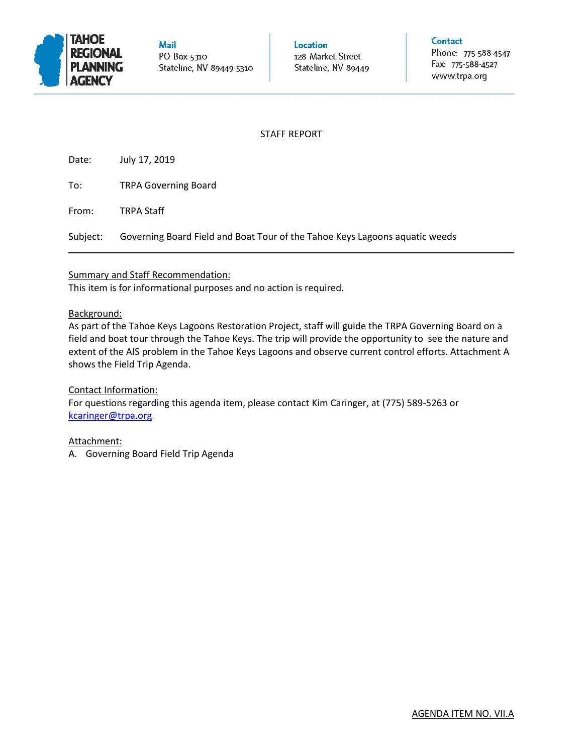

**Mail** PO Box 5310 Stateline, NV 89449-5310 Location 128 Market Street Stateline, NV 89449 **Contact** 

Phone: 775-588-4547 Fax: 775-588-4527 www.trpa.org

# STAFF REPORT

Date: July 17, 2019

To: TRPA Governing Board

From: TRPA Staff

Subject: Governing Board Field and Boat Tour of the Tahoe Keys Lagoons aquatic weeds

## Summary and Staff Recommendation:

This item is for informational purposes and no action is required.

### Background:

As part of the Tahoe Keys Lagoons Restoration Project, staff will guide the TRPA Governing Board on a field and boat tour through the Tahoe Keys. The trip will provide the opportunity to see the nature and extent of the AIS problem in the Tahoe Keys Lagoons and observe current control efforts. Attachment A shows the Field Trip Agenda.

## Contact Information:

For questions regarding this agenda item, please contact Kim Caringer, at (775) 589-5263 or [kcaringer@trpa.org.](mailto:kcaringer@trpa.org)

## Attachment:

A. Governing Board Field Trip Agenda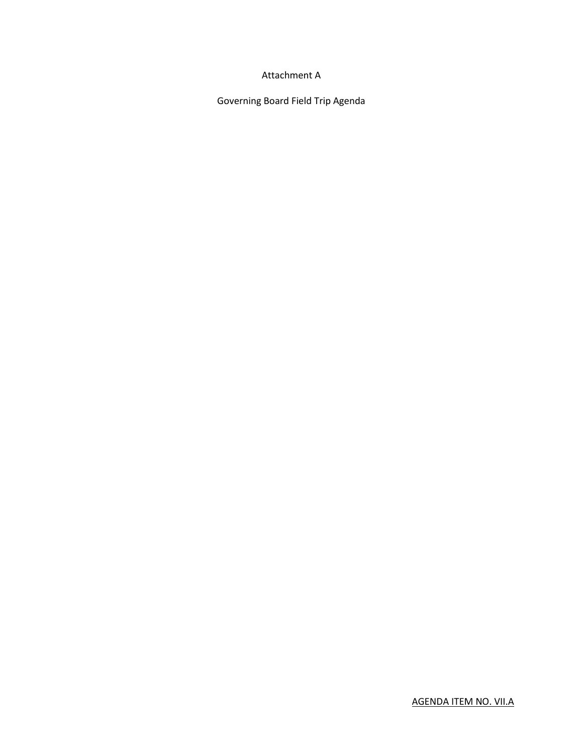# Attachment A

Governing Board Field Trip Agenda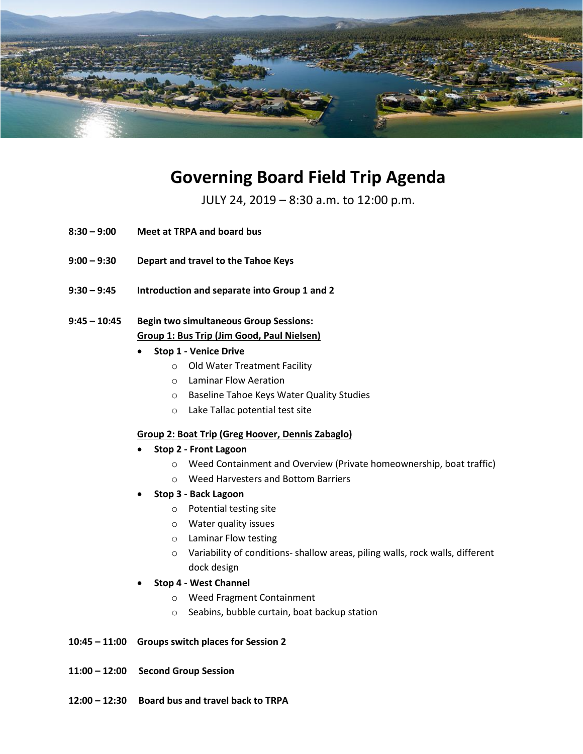

# **Governing Board Field Trip Agenda**

JULY 24, 2019 – 8:30 a.m. to 12:00 p.m.

- **8:30 – 9:00 Meet at TRPA and board bus**
- **9:00 – 9:30 Depart and travel to the Tahoe Keys**
- **9:30 – 9:45 Introduction and separate into Group 1 and 2**

# **9:45 – 10:45 Begin two simultaneous Group Sessions: Group 1: Bus Trip (Jim Good, Paul Nielsen)**

- **Stop 1 - Venice Drive**
	- o Old Water Treatment Facility
	- o Laminar Flow Aeration
	- o Baseline Tahoe Keys Water Quality Studies
	- o Lake Tallac potential test site

### **Group 2: Boat Trip (Greg Hoover, Dennis Zabaglo)**

- **Stop 2 - Front Lagoon** 
	- o Weed Containment and Overview (Private homeownership, boat traffic)
	- o Weed Harvesters and Bottom Barriers
- **Stop 3 - Back Lagoon** 
	- o Potential testing site
	- o Water quality issues
	- o Laminar Flow testing
	- o Variability of conditions- shallow areas, piling walls, rock walls, different dock design

### • **Stop 4 - West Channel**

- o Weed Fragment Containment
- o Seabins, bubble curtain, boat backup station

### **10:45 – 11:00 Groups switch places for Session 2**

- **11:00 – 12:00 Second Group Session**
- **12:00 – 12:30 Board bus and travel back to TRPA**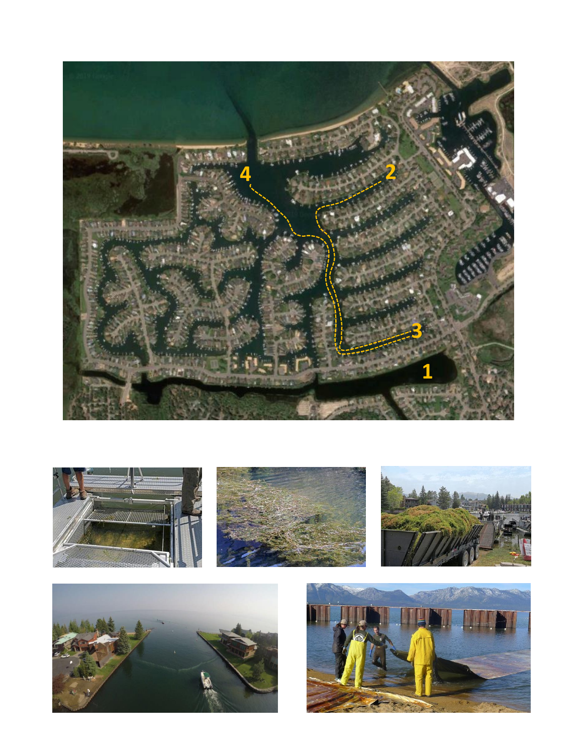